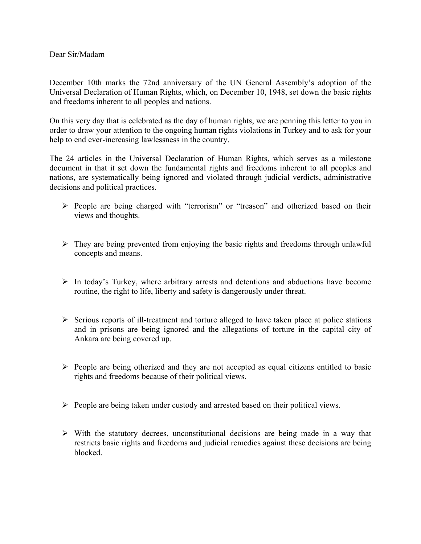Dear Sir/Madam

December 10th marks the 72nd anniversary of the UN General Assembly's adoption of the Universal Declaration of Human Rights, which, on December 10, 1948, set down the basic rights and freedoms inherent to all peoples and nations.

On this very day that is celebrated as the day of human rights, we are penning this letter to you in order to draw your attention to the ongoing human rights violations in Turkey and to ask for your help to end ever-increasing lawlessness in the country.

The 24 articles in the Universal Declaration of Human Rights, which serves as a milestone document in that it set down the fundamental rights and freedoms inherent to all peoples and nations, are systematically being ignored and violated through judicial verdicts, administrative decisions and political practices.

- Ø People are being charged with "terrorism" or "treason" and otherized based on their views and thoughts.
- $\triangleright$  They are being prevented from enjoying the basic rights and freedoms through unlawful concepts and means.
- $\triangleright$  In today's Turkey, where arbitrary arrests and detentions and abductions have become routine, the right to life, liberty and safety is dangerously under threat.
- $\triangleright$  Serious reports of ill-treatment and torture alleged to have taken place at police stations and in prisons are being ignored and the allegations of torture in the capital city of Ankara are being covered up.
- $\triangleright$  People are being otherized and they are not accepted as equal citizens entitled to basic rights and freedoms because of their political views.
- $\triangleright$  People are being taken under custody and arrested based on their political views.
- $\triangleright$  With the statutory decrees, unconstitutional decisions are being made in a way that restricts basic rights and freedoms and judicial remedies against these decisions are being blocked.